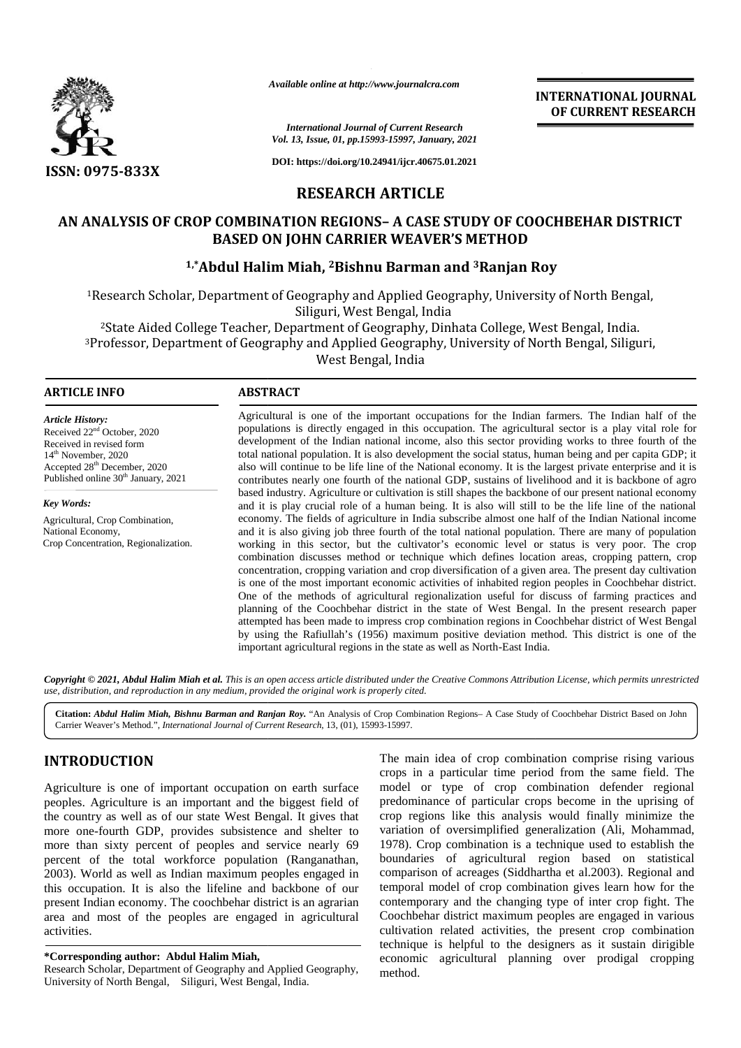

*Available online at http://www.journalcra.com*

# *International Journal of Current Research Vol. 13, Issue, 01, pp.15993-15997, January, 2021 Journal 2021*International Journal of Current Research<br>Vol. 13, Issue, 01, pp.15993-15997, January, 2021<br>DOI: https://doi.org/10.24941/ijcr.40675.01.2021

**DOI: https://doi.org/10.24941/ijcr.40675.01.2021**

# **RESEARCH ARTICLE**

# **AN ANALYSIS OF CROP COMBINATION REGIONS– A CASE STUDY OF COOCHBEHAR DISTRICT BASED ON JOHN CARRIER WEAVER'S METHOD 1,\*Abdul Halim Miah, ?Bishnu Barman and ?Ranjan Roy<br>
1,\*Abdul Halim Miah, ?Bishnu Barman and <sup>3</sup>Ranjan Roy**

<sup>1</sup>Research Scholar, Department of Geography and Applied Geography, University of North Bengal, Siliguri, West Bengal, India

<sup>2</sup>State Aided College Teacher, Department of Geography, Dinhata College, West Bengal, India. <sup>3</sup>Professor, Department of Geography and Applied Geography, University of North Bengal, Siliguri, West Bengal, India liguri, West Bengal, India<br>rtment of Geography, Dinhata College, West<br>and Applied Geography, University of North<br>West Bengal, India

#### **ARTICLE INFO ABSTRACT ARTICLE ABSTRACT**

*Article History:* Received  $22<sup>nd</sup>$  October, 2020 Received in revised form 14 th November, 2020 Received in revised form<br>14<sup>th</sup> November, 2020<br>Accepted 28<sup>th</sup> December, 2020 Published online 30<sup>th</sup> January, 2021

*Key Words:* Agricultural, Crop Combination, National Economy, Crop Concentration, Regionalization.

Agricultural is one of the important occupations for the Indian farmers. The Indian half of the populations is directly engaged in this occupation. The agricultural sector is a play vital role for development of the Indian national income, also this sector providing works to three fourth of the total national population. It is also development the social status, human being and per capita GDP; it also will continue to be life line of the National economy. It is the largest private enterprise and it is contributes nearly one fourth of the national GDP, sustains of livelihood and it is backbone of agro based industry. Agriculture or cultivation is still shapes the backbone of our present national economy and it is play crucial role of a human being. It is also will still to be the life line of the national economy. The fields of agriculture in India subscribe almost one half of the Indian National income and it is also giving job three fourth of the total national population. There are many of population working in this sector, but the cultivator's economic level or status is very poor. The crop combination discusses method or technique which defines location areas, cropping pattern, crop concentration, cropping variation and crop diversification of a given area. The present day cultivation is one of the most important economic activities of inhabited region peoples in Coochbehar district. One of the methods of agricultural regionalization useful for discuss of farming practices and planning of the Coochbehar district in the state of West Bengal. In the present research paper attempted has been made to impress crop combination regions in Coochbehar district of West Bengal by using the Rafiullah's (1956) maximum positive deviation method. This district is one of the important agricultural regions in the state as well as North-East India. Agricultural is one of the important occupations for the Indian farmers. The Indian half of the populations is directly engaged in this occupation. The agricultural sector is a play vital role for development of the Indian concentration, cropping variation and crop diversification of a given area. The present day culti<br>is one of the methods of agricultural regionalization useful for discuss of farming practice<br>planning of the Coochbehar dist Available online at http://www.journalcra.com<br>
Vol. 13, Issue, 01, pp.15993-15997, January.<br>
SSN: 0975-833X<br>
DOI: https://doi.org/10.249415(pr.4685.51.<br>
SSN: 0975-833X<br>
DOI: https://doi.org/10.249415(pr.4685.51.<br>
RESEEARCH sector providing works<br>ial status, human being<br>ny. It is the largest priv<br>tains of livelihood and<br>the backbone of our pre

**Copyright © 2021, Abdul Halim Miah et al.** This is an open access article distributed under the Creative Commons Attribution License, which permits unrestricted<br>use, distribution, and reproduction in any medium, provided *use, distribution, and reproduction in any medium, provided the original work is properly cited.*

Citation: Abdul Halim Miah, Bishnu Barman and Ranjan Roy. "An Analysis of Crop Combination Regions- A Case Study of Coochbehar District Based on John | Carrier Weaver's Method.", *International Journal of Current Research*, 13, (01), 15993-15997.

# **INTRODUCTION INTRODUCTION**

Agriculture is one of important occupation on earth surface mod peoples. Agriculture is an important and the biggest field of the country as well as of our state West Bengal. It gives that more one-fourth GDP, provides subsistence and shelter to more than sixty percent of peoples and service nearly 69 percent of the total workforce population (Ranganathan, 2003). World as well as Indian maximum peoples engaged in this occupation. It is also the lifeline and backbone of our present Indian economy. The coochbehar district is an agrarian area and most of the peoples are engaged in agricultural activities. Agriculture is one of important occupation on earth surface<br>peoples. Agriculture is an important and the biggest field of<br>the country as well as of our state West Bengal. It gives that<br>more one-fourth GDP, provides subsist present Indian economy. The coochbehar district is an area and most of the peoples are engaged in agr<br>activities.

#### **\*Corresponding author: Abdul Halim Miah, \*Corresponding**

Research Scholar, Department of Geography and Applied Geography, University of North Bengal, Siliguri, West Bengal, India.

The main idea of crop combination comprise rising various crops in a particular time period from the same field. The model or type of crop combination defender regional predominance of particular crops become in the uprising of crop regions like this analysis would finally minimize the variation of oversimplified generalization (Ali, Mohammad, 1978). Crop combination is a technique used to establish the boundaries of agricultural region based on statistical comparison of acreages (Siddhartha et al.2003). Regional and temporal model of crop combination gives learn how for the contemporary and the changing type of inter crop fight. The Coochbehar district maximum peoples are engaged in various cultivation related activities, the present crop combination technique is helpful to the designers as it sustain dirigible economic agricultural planning over prodigal cropping method. **INTRODUCTION**<br> **Exerculture is one of important occupation on earth surface** roods in a particular time period from the same field<br> **Properbation** and the biggest field of predominance of particular rops become in the upr del of crop combination gives learn how for the<br>y and the changing type of inter crop fight. The<br>district maximum peoples are engaged in various

**INTERNATIONAL JOURNAL OF CURRENT RESEARCH**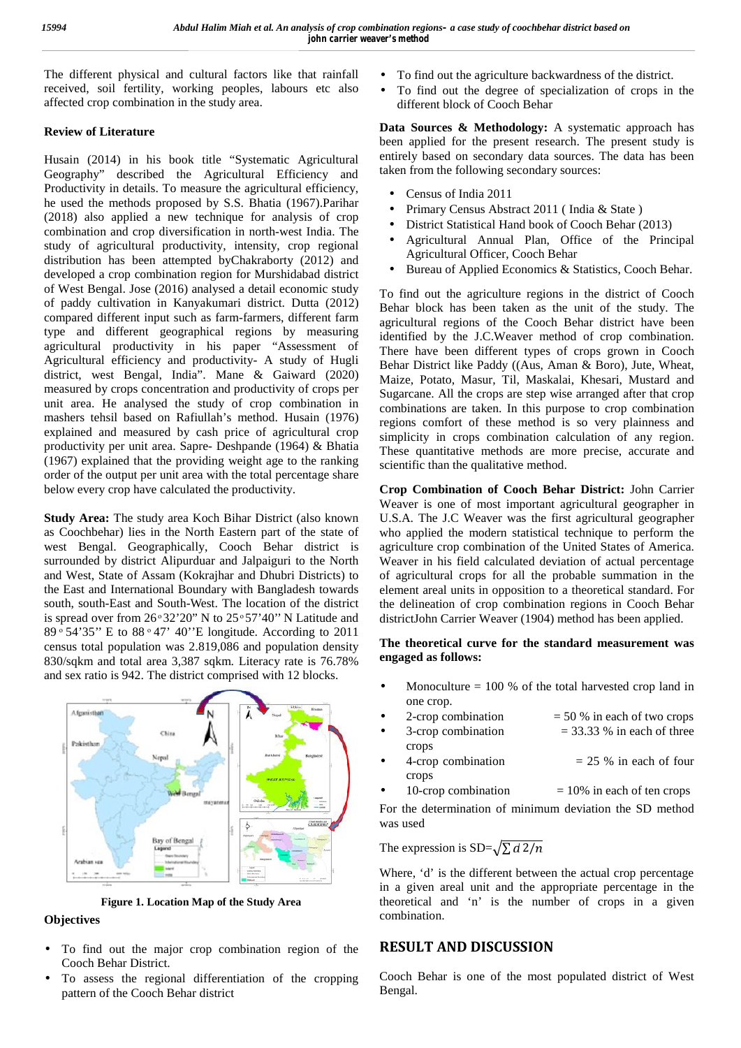The different physical and cultural factors like that rainfall  $\tilde{N}$ received, soil fertility, working peoples, labours etc also  $\tilde{N}$ affected crop combination in the study area.

## **Review of Literature**

Husain (2014) in his book title "Systematic Agricultural Geography" described the Agricultural Efficiency and Productivity in details. To measure the agricultural efficiency, he used the methods proposed by S.S. Bhatia (1967). Parihar  $\overrightarrow{\text{N}}$ (2018) also applied a new technique for analysis of crop  $\frac{N}{N}$ combination and crop diversification in north-west India. The study of agricultural productivity, intensity, crop regional distribution has been attempted byChakraborty (2012) and developed a crop combination region for Murshidabad district of West Bengal. Jose (2016) analysed a detail economic study of paddy cultivation in Kanyakumari district. Dutta (2012) compared different input such as farm-farmers, different farm type and different geographical regions by measuring agricultural productivity in his paper "Assessment of Agricultural efficiency and productivity- A study of Hugli district, west Bengal, India". Mane & Gaiward (2020) measured by crops concentration and productivity of crops per unit area. He analysed the study of crop combination in mashers tehsil based on Rafiullah's method. Husain (1976) explained and measured by cash price of agricultural crop productivity per unit area. Sapre- Deshpande (1964) & Bhatia (1967) explained that the providing weight age to the ranking order of the output per unit area with the total percentage share below every crop have calculated the productivity.

**Study Area:** The study area Koch Bihar District (also known as Coochbehar) lies in the North Eastern part of the state of west Bengal. Geographically, Cooch Behar district is surrounded by district Alipurduar and Jalpaiguri to the North and West, State of Assam (Kokrajhar and Dhubri Districts) to the East and International Boundary with Bangladesh towards south, south-East and South-West. The location of the district is spread over from  $26°32'20''$  N to  $25°57'40''$  N Latitude and  $89°54'35"$  E to  $88°47'$  40" E longitude. According to 2011 census total population was 2.819,086 and population density 830/sqkm and total area 3,387 sqkm. Literacy rate is 76.78% and sex ratio is 942. The district comprised with 12 blocks.



**Figure 1. Location Map of the Study Area**

## **Objectives**

- To find out the major crop combination region of the Cooch Behar District.
- To assess the regional differentiation of the cropping pattern of the Cooch Behar district
- To find out the agriculture backwardness of the district.
- To find out the degree of specialization of crops in the different block of Cooch Behar

**Data Sources & Methodology:** A systematic approach has been applied for the present research. The present study is entirely based on secondary data sources. The data has been taken from the following secondary sources:

- Census of India 2011
- Primary Census Abstract 2011 ( India & State )
- District Statistical Hand book of Cooch Behar (2013)
- Agricultural Annual Plan, Office of the Principal Agricultural Officer, Cooch Behar
- $N$  Bureau of Applied Economics & Statistics, Cooch Behar.

To find out the agriculture regions in the district of Cooch Behar block has been taken as the unit of the study. The agricultural regions of the Cooch Behar district have been identified by the J.C.Weaver method of crop combination. There have been different types of crops grown in Cooch Behar District like Paddy ((Aus, Aman & Boro), Jute, Wheat, Maize, Potato, Masur, Til, Maskalai, Khesari, Mustard and Sugarcane. All the crops are step wise arranged after that crop combinations are taken. In this purpose to crop combination regions comfort of these method is so very plainness and simplicity in crops combination calculation of any region. These quantitative methods are more precise, accurate and scientific than the qualitative method.

**Crop Combination of Cooch Behar District:** John Carrier Weaver is one of most important agricultural geographer in U.S.A. The J.C Weaver was the first agricultural geographer who applied the modern statistical technique to perform the agriculture crop combination of the United States of America. Weaver in his field calculated deviation of actual percentage of agricultural crops for all the probable summation in the element areal units in opposition to a theoretical standard. For the delineation of crop combination regions in Cooch Behar districtJohn Carrier Weaver (1904) method has been applied.

### **The theoretical curve for the standard measurement was engaged as follows:**

 $\tilde{N}$  Monoculture = 100 % of the total harvested crop land in one crop.

| Ñ | 2-crop combination  | $=$ 50 % in each of two crops |  |
|---|---------------------|-------------------------------|--|
| Ñ | 3-crop combination  | $=$ 33.33 % in each of three  |  |
|   | crops               |                               |  |
| Ñ | 4-crop combination  | $= 25$ % in each of four      |  |
|   | crops               |                               |  |
| Ñ | 10-crop combination | $= 10\%$ in each of ten crops |  |

For the determination of minimum deviation the SD method was used

The expression is SD= $\sqrt{\sum d^2/n}$ 

Where, 'd' is the different between the actual crop percentage in a given areal unit and the appropriate percentage in the theoretical and 'n' is the number of crops in a given combination.

# **RESULT AND DISCUSSION**

Cooch Behar is one of the most populated district of West Bengal.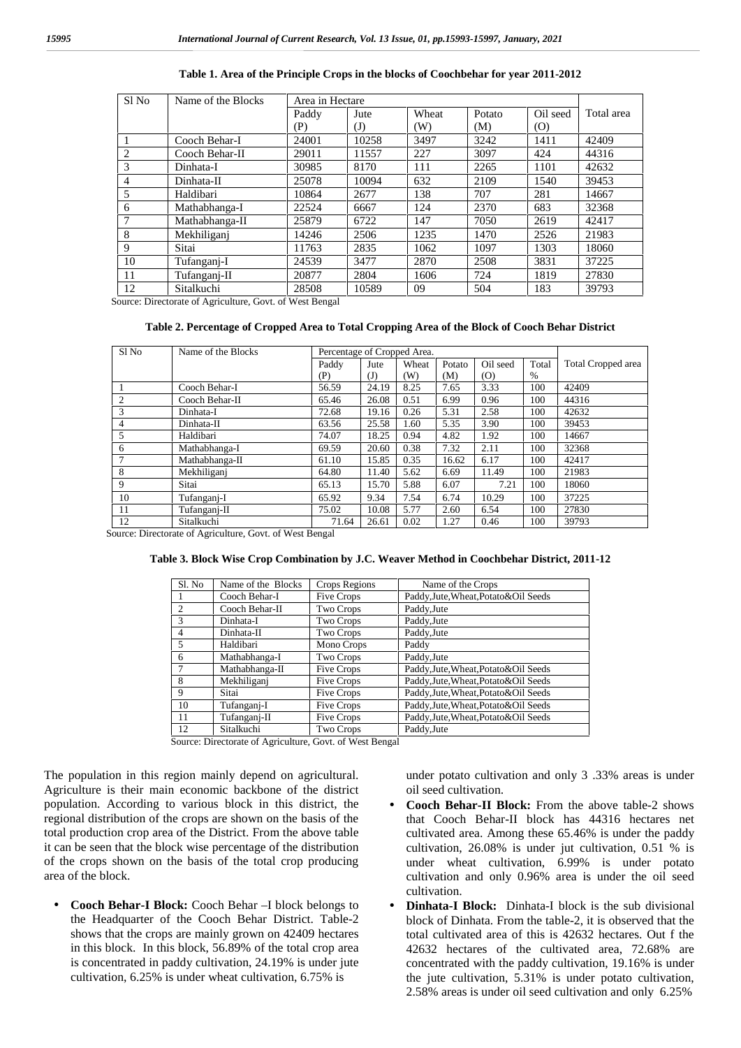| Sl No          | Name of the Blocks |       | Area in Hectare |       |        |          |            |
|----------------|--------------------|-------|-----------------|-------|--------|----------|------------|
|                |                    | Paddy | Jute            | Wheat | Potato | Oil seed | Total area |
|                |                    | (P)   | $\mathrm{J}$    | (W)   | (M)    | (0)      |            |
|                | Cooch Behar-I      | 24001 | 10258           | 3497  | 3242   | 1411     | 42409      |
| $\overline{c}$ | Cooch Behar-II     | 29011 | 11557           | 227   | 3097   | 424      | 44316      |
| 3              | Dinhata-I          | 30985 | 8170            | 111   | 2265   | 1101     | 42632      |
| 4              | Dinhata-II         | 25078 | 10094           | 632   | 2109   | 1540     | 39453      |
| 5              | Haldibari          | 10864 | 2677            | 138   | 707    | 281      | 14667      |
| 6              | Mathabhanga-I      | 22524 | 6667            | 124   | 2370   | 683      | 32368      |
| 7              | Mathabhanga-II     | 25879 | 6722            | 147   | 7050   | 2619     | 42417      |
| 8              | Mekhiliganj        | 14246 | 2506            | 1235  | 1470   | 2526     | 21983      |
| 9              | Sitai              | 11763 | 2835            | 1062  | 1097   | 1303     | 18060      |
| 10             | Tufanganj-I        | 24539 | 3477            | 2870  | 2508   | 3831     | 37225      |
| 11             | Tufanganj-II       | 20877 | 2804            | 1606  | 724    | 1819     | 27830      |
| 12             | Sitalkuchi         | 28508 | 10589           | 09    | 504    | 183      | 39793      |

#### **Table 1. Area of the Principle Crops in the blocks of Coochbehar for year 2011-2012**

Source: Directorate of Agriculture, Govt. of West Bengal

#### **Table 2. Percentage of Cropped Area to Total Cropping Area of the Block of Cooch Behar District**

| Sl No          | Name of the Blocks |       | Percentage of Cropped Area. |       |        |          |       |                    |
|----------------|--------------------|-------|-----------------------------|-------|--------|----------|-------|--------------------|
|                |                    | Paddy | Jute                        | Wheat | Potato | Oil seed | Total | Total Cropped area |
|                |                    | (P)   | $\mathrm{J}$                | (W)   | (M)    | (O)      | %     |                    |
|                | Cooch Behar-I      | 56.59 | 24.19                       | 8.25  | 7.65   | 3.33     | 100   | 42409              |
| $\overline{2}$ | Cooch Behar-II     | 65.46 | 26.08                       | 0.51  | 6.99   | 0.96     | 100   | 44316              |
| 3              | Dinhata-I          | 72.68 | 19.16                       | 0.26  | 5.31   | 2.58     | 100   | 42632              |
| 4              | Dinhata-II         | 63.56 | 25.58                       | 1.60  | 5.35   | 3.90     | 100   | 39453              |
| 5              | Haldibari          | 74.07 | 18.25                       | 0.94  | 4.82   | 1.92     | 100   | 14667              |
| 6              | Mathabhanga-I      | 69.59 | 20.60                       | 0.38  | 7.32   | 2.11     | 100   | 32368              |
|                | Mathabhanga-II     | 61.10 | 15.85                       | 0.35  | 16.62  | 6.17     | 100   | 42417              |
| 8              | Mekhiliganj        | 64.80 | 11.40                       | 5.62  | 6.69   | 11.49    | 100   | 21983              |
| 9              | Sitai              | 65.13 | 15.70                       | 5.88  | 6.07   | 7.21     | 100   | 18060              |
| 10             | Tufanganj-I        | 65.92 | 9.34                        | 7.54  | 6.74   | 10.29    | 100   | 37225              |
| 11             | Tufanganj-II       | 75.02 | 10.08                       | 5.77  | 2.60   | 6.54     | 100   | 27830              |
| 12             | Sitalkuchi         | 71.64 | 26.61                       | 0.02  | 1.27   | 0.46     | 100   | 39793              |

Source: Directorate of Agriculture, Govt. of West Bengal

### **Table 3. Block Wise Crop Combination by J.C. Weaver Method in Coochbehar District, 2011-12**

| Sl. No         | Name of the Blocks | Crops Regions | Name of the Crops                    |
|----------------|--------------------|---------------|--------------------------------------|
|                | Cooch Behar-I      | Five Crops    | Paddy, Jute, Wheat, Potato&Oil Seeds |
| 2              | Cooch Behar-II     | Two Crops     | Paddy, Jute                          |
| 3              | Dinhata-I          | Two Crops     | Paddy, Jute                          |
| $\overline{4}$ | Dinhata-II         | Two Crops     | Paddy, Jute                          |
| 5              | Haldibari          | Mono Crops    | Paddy                                |
| 6              | Mathabhanga-I      | Two Crops     | Paddy, Jute                          |
| 7              | Mathabhanga-II     | Five Crops    | Paddy, Jute, Wheat, Potato&Oil Seeds |
| 8              | Mekhiliganj        | Five Crops    | Paddy, Jute, Wheat, Potato&Oil Seeds |
| 9              | Sitai              | Five Crops    | Paddy, Jute, Wheat, Potato&Oil Seeds |
| 10             | Tufanganj-I        | Five Crops    | Paddy, Jute, Wheat, Potato&Oil Seeds |
| 11             | Tufanganj-II       | Five Crops    | Paddy, Jute, Wheat, Potato&Oil Seeds |
| 12             | Sitalkuchi         | Two Crops     | Paddy, Jute                          |

Source: Directorate of Agriculture, Govt. of West Bengal

The population in this region mainly depend on agricultural. Agriculture is their main economic backbone of the district population. According to various block in this district, the regional distribution of the crops are shown on the basis of the total production crop area of the District. From the above table it can be seen that the block wise percentage of the distribution of the crops shown on the basis of the total crop producing area of the block.

 **Cooch Behar-I Block:** Cooch Behar –I block belongs to the Headquarter of the Cooch Behar District. Table-2 shows that the crops are mainly grown on 42409 hectares in this block. In this block, 56.89% of the total crop area is concentrated in paddy cultivation, 24.19% is under jute cultivation, 6.25% is under wheat cultivation, 6.75% is

under potato cultivation and only 3 .33% areas is under oil seed cultivation.

- **Cooch Behar-II Block:** From the above table-2 shows that Cooch Behar-II block has 44316 hectares net cultivated area. Among these 65.46% is under the paddy cultivation, 26.08% is under jut cultivation, 0.51 % is under wheat cultivation, 6.99% is under potato cultivation and only 0.96% area is under the oil seed cultivation.
- **Dinhata-I Block:** Dinhata-I block is the sub divisional block of Dinhata. From the table-2, it is observed that the total cultivated area of this is 42632 hectares. Out f the 42632 hectares of the cultivated area, 72.68% are concentrated with the paddy cultivation, 19.16% is under the jute cultivation, 5.31% is under potato cultivation, 2.58% areas is under oil seed cultivation and only 6.25%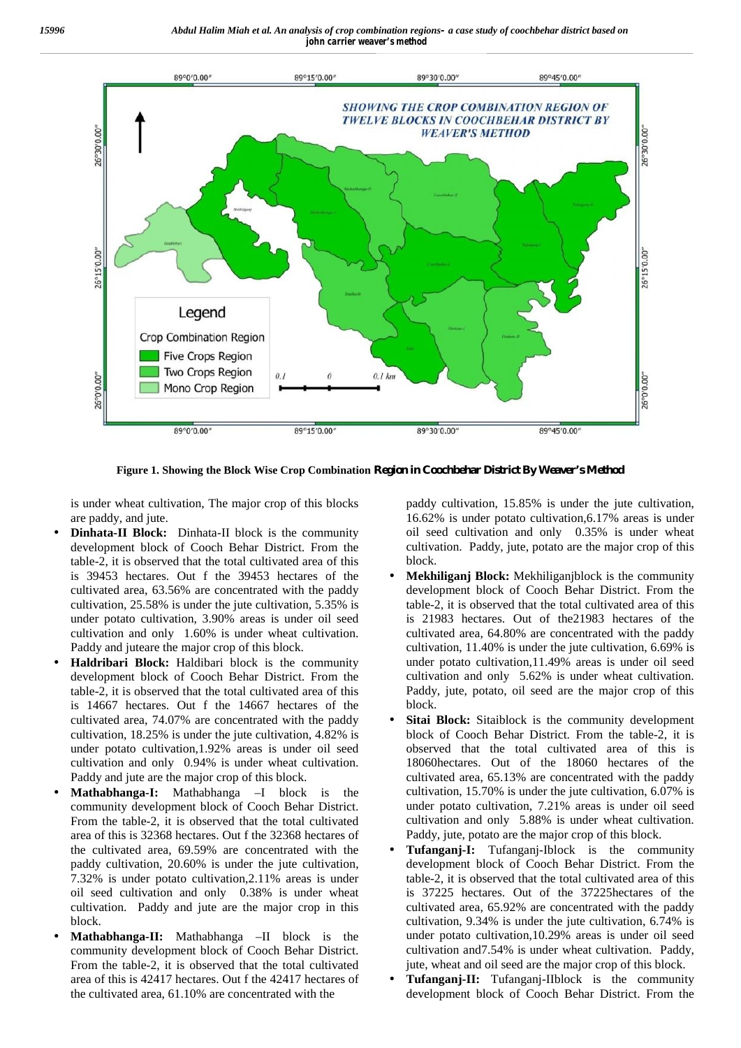

**Figure 1. Showing the Block Wise Crop Combination Region in Coochbehar District By Weaver's Method**

is under wheat cultivation, The major crop of this blocks are paddy, and jute.

- **Dinhata-II Block:** Dinhata-II block is the community development block of Cooch Behar District. From the table-2, it is observed that the total cultivated area of this is 39453 hectares. Out f the 39453 hectares of the cultivated area, 63.56% are concentrated with the paddy cultivation, 25.58% is under the jute cultivation, 5.35% is under potato cultivation, 3.90% areas is under oil seed cultivation and only 1.60% is under wheat cultivation. Paddy and juteare the major crop of this block.
- **Haldribari Block:** Haldibari block is the community development block of Cooch Behar District. From the table-2, it is observed that the total cultivated area of this is 14667 hectares. Out f the 14667 hectares of the cultivated area, 74.07% are concentrated with the paddy cultivation, 18.25% is under the jute cultivation, 4.82% is under potato cultivation,1.92% areas is under oil seed cultivation and only 0.94% is under wheat cultivation. Paddy and jute are the major crop of this block.
- **Mathabhanga-I:** Mathabhanga –I block is the community development block of Cooch Behar District. From the table-2, it is observed that the total cultivated area of this is 32368 hectares. Out f the 32368 hectares of the cultivated area, 69.59% are concentrated with the paddy cultivation, 20.60% is under the jute cultivation, 7.32% is under potato cultivation,2.11% areas is under oil seed cultivation and only 0.38% is under wheat cultivation. Paddy and jute are the major crop in this block.
- **Mathabhanga-II:** Mathabhanga –II block is the community development block of Cooch Behar District. From the table-2, it is observed that the total cultivated area of this is 42417 hectares. Out f the 42417 hectares of the cultivated area, 61.10% are concentrated with the

paddy cultivation, 15.85% is under the jute cultivation, 16.62% is under potato cultivation,6.17% areas is under oil seed cultivation and only 0.35% is under wheat cultivation. Paddy, jute, potato are the major crop of this block.

- **Mekhiliganj Block:** Mekhiliganjblock is the community development block of Cooch Behar District. From the table-2, it is observed that the total cultivated area of this is 21983 hectares. Out of the21983 hectares of the cultivated area, 64.80% are concentrated with the paddy cultivation, 11.40% is under the jute cultivation, 6.69% is under potato cultivation,11.49% areas is under oil seed cultivation and only 5.62% is under wheat cultivation. Paddy, jute, potato, oil seed are the major crop of this block.
- **Sitai Block:** Sitaiblock is the community development block of Cooch Behar District. From the table-2, it is observed that the total cultivated area of this is 18060hectares. Out of the 18060 hectares of the cultivated area, 65.13% are concentrated with the paddy cultivation, 15.70% is under the jute cultivation, 6.07% is under potato cultivation, 7.21% areas is under oil seed cultivation and only 5.88% is under wheat cultivation. Paddy, jute, potato are the major crop of this block.
- **Tufanganj-I:** Tufanganj-Iblock is the community development block of Cooch Behar District. From the table-2, it is observed that the total cultivated area of this is 37225 hectares. Out of the 37225hectares of the cultivated area, 65.92% are concentrated with the paddy cultivation, 9.34% is under the jute cultivation, 6.74% is under potato cultivation,10.29% areas is under oil seed cultivation and7.54% is under wheat cultivation. Paddy, jute, wheat and oil seed are the major crop of this block.
- **Tufanganj-II:** Tufanganj-IIblock is the community development block of Cooch Behar District. From the